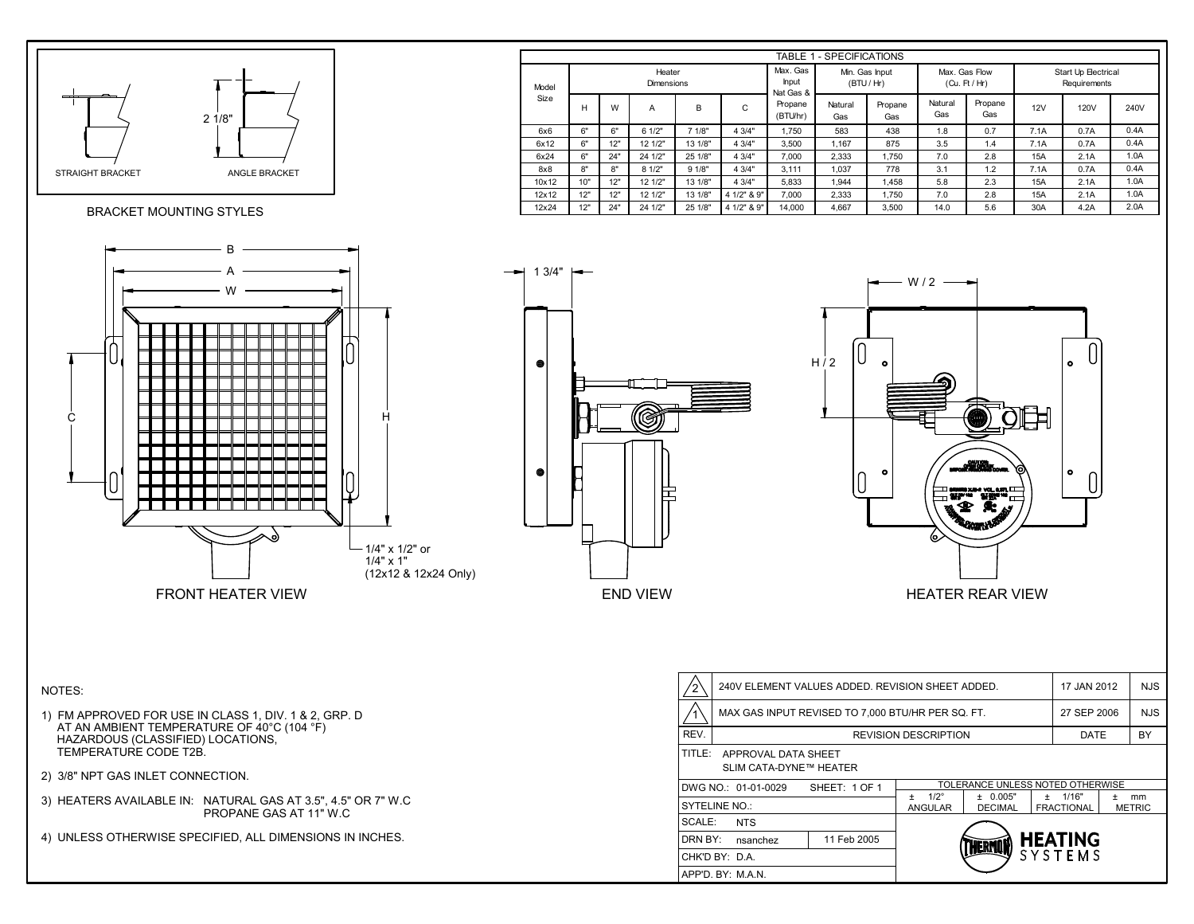

|                          |                                                                                                  |            |                    |                                                                                              |                                                   |                                                      | TABLE 1 - SPECIFICATIONS |                |                             |                |              |                                  |               |  |
|--------------------------|--------------------------------------------------------------------------------------------------|------------|--------------------|----------------------------------------------------------------------------------------------|---------------------------------------------------|------------------------------------------------------|--------------------------|----------------|-----------------------------|----------------|--------------|----------------------------------|---------------|--|
|                          | Heater                                                                                           |            |                    |                                                                                              |                                                   | Max. Gas<br>Min. Gas Input                           |                          |                | Max. Gas Flow               |                |              | Start Up Electrical              |               |  |
| Model                    | Dimensions                                                                                       |            |                    |                                                                                              | Input                                             |                                                      | (BTU/Hr)                 |                | (Cu. Ft/Hr)                 |                | Requirements |                                  |               |  |
| Size                     | н                                                                                                | W          | Α                  | в                                                                                            | C                                                 | Nat Gas &<br>Propane<br>(BTU/hr)                     | Natural<br>Gas           | Propane<br>Gas | Natural<br>Gas              | Propane<br>Gas | 12V          | 120V                             | 240V          |  |
| 6x6                      | 6"                                                                                               | 6"         | 6 1/2"             | 7 1/8"                                                                                       | 4 3/4"                                            | 1,750                                                | 583                      | 438            | 1.8                         | 0.7            | 7.1A         | 0.7A                             | 0.4A          |  |
| 6x12                     | 6"                                                                                               | 12"        | 12 1/2"            | 13 1/8"                                                                                      | 4 3/4"                                            | 3,500                                                | 1,167                    | 875            | 3.5                         | 1.4            | 7.1A         | 0.7A                             | 0.4A          |  |
| 6x24                     | 6"                                                                                               | 24"        | 24 1/2"            | 25 1/8"                                                                                      | 4 3/4"                                            | 7,000                                                | 2,333                    | 1,750          | $7.0$                       | 2.8            | 15A          | 2.1A                             | 1.0A          |  |
| 8x8                      | 8"                                                                                               | 8"         | 8 1/2"             | 91/8"                                                                                        | 4 3/4"                                            | 3,111                                                | 1,037                    | 778            | 3.1                         | 1.2            | 7.1A         | 0.7A                             | 0.4A          |  |
| 10x12                    | 10"                                                                                              | 12"        | 12 1/2"            | 13 1/8"                                                                                      | 4 3/4"                                            | 5,833                                                | 1,944                    | 1,458          | 5.8                         | 2.3            | 15A          | 2.1A                             | 1.0A          |  |
| 12x12<br>12x24           | 12"<br>12"                                                                                       | 12"<br>24" | 12 1/2"<br>24 1/2" | 13 1/8"<br>25 1/8"                                                                           | 4 1/2" & 9"<br>4 1/2" & 9"                        | 7,000<br>14,000                                      | 2,333<br>4,667           | 1,750<br>3,500 | 7.0<br>14.0                 | 2.8<br>5.6     | 15A<br>30A   | 2.1A<br>4.2A                     | 1.0A<br>2.0A  |  |
| 1 3/4"<br>$\bullet$<br>● | W/2<br>U<br>H/2<br>$\bullet$<br>۰<br>€<br>۰<br>(o.<br><b>HEATER REAR VIEW</b><br><b>END VIEW</b> |            |                    |                                                                                              |                                                   |                                                      |                          |                |                             |                |              |                                  |               |  |
|                          |                                                                                                  |            |                    | 240V ELEMENT VALUES ADDED. REVISION SHEET ADDED.<br>17 JAN 2012<br>$^{\prime}$ 2 $^{\prime}$ |                                                   |                                                      |                          |                |                             |                |              | <b>NJS</b>                       |               |  |
|                          |                                                                                                  |            |                    | $\sqrt{1}$                                                                                   | MAX GAS INPUT REVISED TO 7,000 BTU/HR PER SQ. FT. |                                                      |                          |                |                             |                | 27 SEP 2006  | <b>NJS</b>                       |               |  |
|                          |                                                                                                  |            |                    | REV.                                                                                         |                                                   |                                                      |                          |                | <b>REVISION DESCRIPTION</b> |                |              | DATE                             | BY            |  |
|                          |                                                                                                  |            |                    |                                                                                              |                                                   | TITLE: APPROVAL DATA SHEET<br>SLIM CATA-DYNE™ HEATER |                          |                |                             |                |              |                                  |               |  |
|                          |                                                                                                  |            |                    |                                                                                              | DWG NO.: 01-01-0029                               |                                                      | SHEET: 1 OF 1            |                |                             |                |              | TOLERANCE UNLESS NOTED OTHERWISE |               |  |
|                          |                                                                                                  |            |                    |                                                                                              |                                                   |                                                      |                          |                | $\pm$ 1/2°<br>± 0.005"      |                |              | ± 1/16"<br>± mm                  |               |  |
|                          |                                                                                                  |            |                    | <b>SYTELINE NO.:</b>                                                                         |                                                   |                                                      |                          |                | ANGULAR                     | <b>DECIMAL</b> |              | <b>FRACTIONAL</b>                | <b>METRIC</b> |  |
|                          |                                                                                                  |            |                    | SCALE:                                                                                       | NTS                                               |                                                      |                          |                |                             | —              |              |                                  |               |  |

- 3) HEATERS AVAILABLE IN: NATURAL GAS AT 3.5", 4.5" OR 7" W.C PROPANE GAS AT 11" W.C
- 4) UNLESS OTHERWISE SPECIFIED, ALL DIMENSIONS IN INCHES.

|         | MAX GAS INPUT REVISED TO 7,000 BTU/HR PER SQ. FT.          | 27 SEP 2006                          |                            | <b>NJS</b> |                              |   |                     |  |  |  |  |
|---------|------------------------------------------------------------|--------------------------------------|----------------------------|------------|------------------------------|---|---------------------|--|--|--|--|
| REV.    | <b>REVISION DESCRIPTION</b>                                |                                      |                            |            |                              |   | <b>DATE</b>         |  |  |  |  |
|         | TITLE:<br>APPROVAL DATA SHEET<br>SLIM CATA-DYNE™ HEATER    |                                      |                            |            |                              |   |                     |  |  |  |  |
|         | DWG NO.: 01-01-0029<br>SHEET: 1 OF 1                       | TOLERANCE UNLESS NOTED OTHERWISE     |                            |            |                              |   |                     |  |  |  |  |
|         | <b>SYTELINE NO.:</b>                                       | $1/2^\circ$<br>$+$<br><b>ANGULAR</b> | ± 0.005"<br><b>DECIMAL</b> |            | ± 1/16"<br><b>FRACTIONAL</b> | ÷ | mm<br><b>METRIC</b> |  |  |  |  |
| SCALE:  | <b>NTS</b>                                                 |                                      |                            |            |                              |   |                     |  |  |  |  |
| DRN BY: | <b>HEATING</b><br>11 Feb 2005<br>nsanchez<br><b>HERMOI</b> |                                      |                            |            |                              |   |                     |  |  |  |  |
|         | CHK'D BY: D.A.                                             | <b>SYSTEMS</b>                       |                            |            |                              |   |                     |  |  |  |  |
|         | APP'D. BY: M.A.N.                                          |                                      |                            |            |                              |   |                     |  |  |  |  |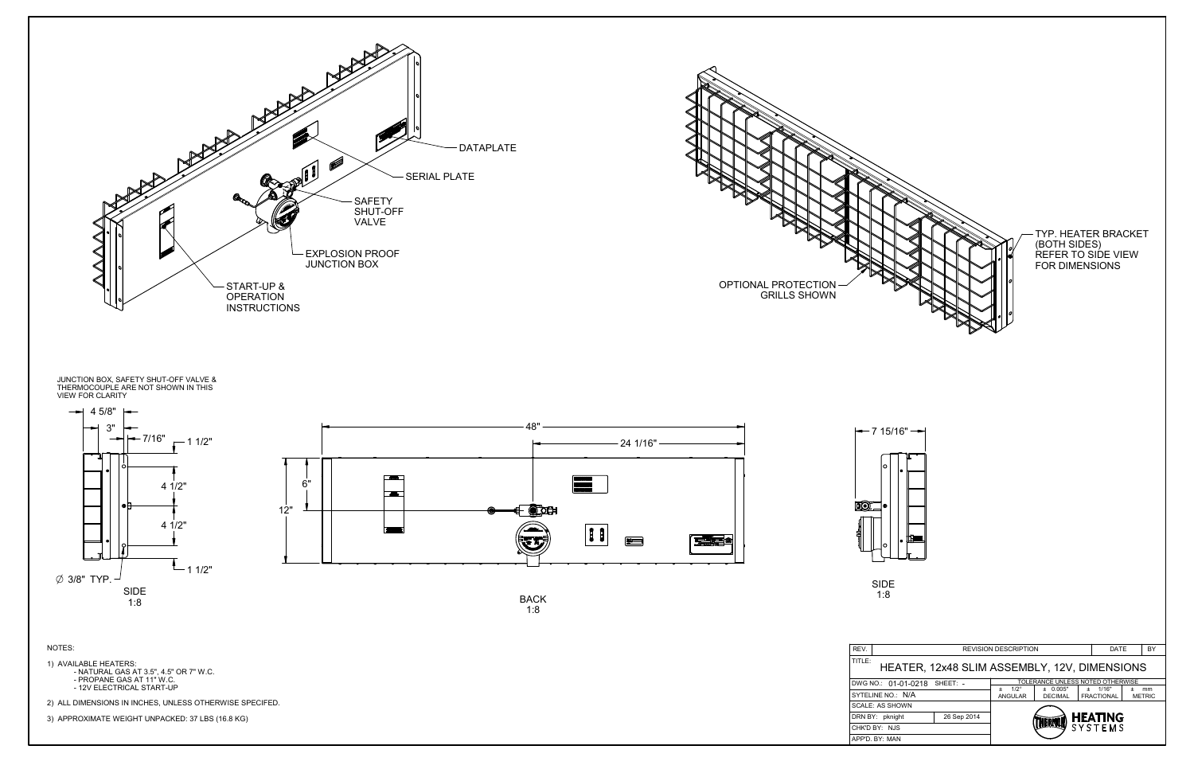TITLE:

REV.

JUNCTION BOX, SAFETY SHUT-OFF VALVE & THERMOCOUPLE ARE NOT SHOWN IN THIS VIEW FOR CLARITY







3) APPROXIMATE WEIGHT UNPACKED: 37 LBS (16.8 KG)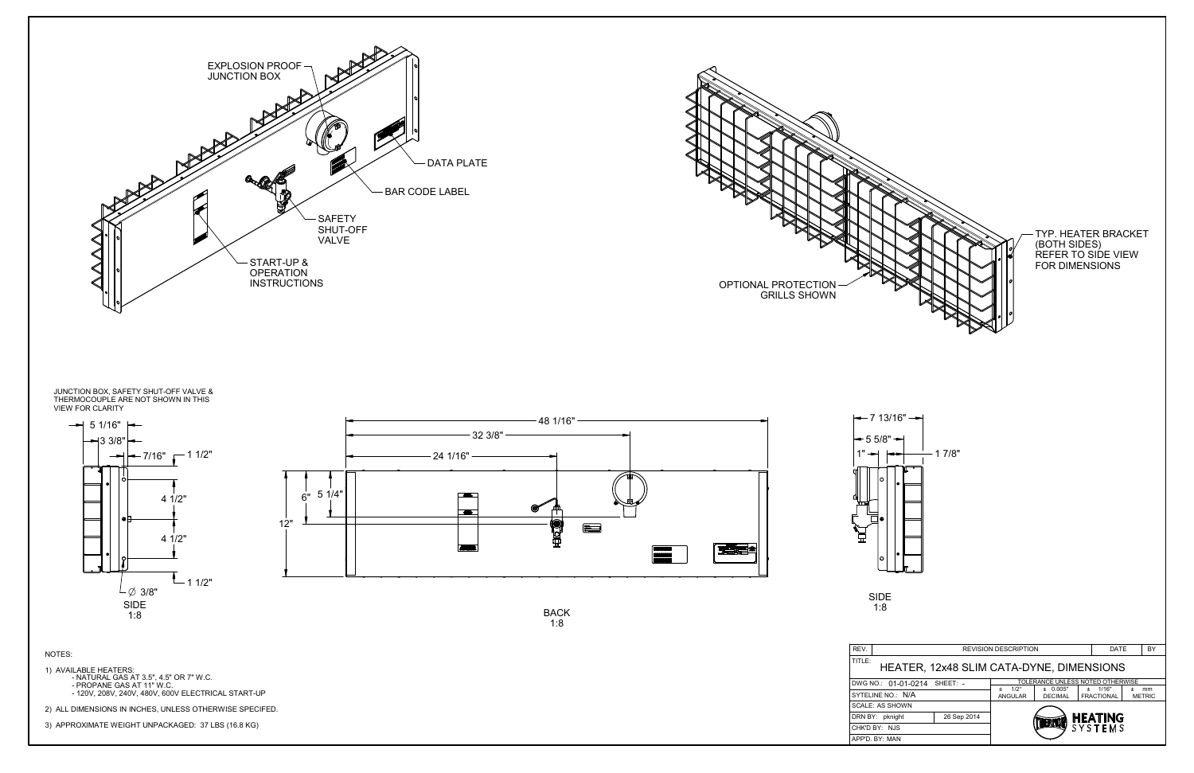JUNCTION BOX, SAFETY SHUT-OFF VALVE & THERMOCOUPLE ARE NOT SHOWN IN THIS VIEW FOR CLARITY





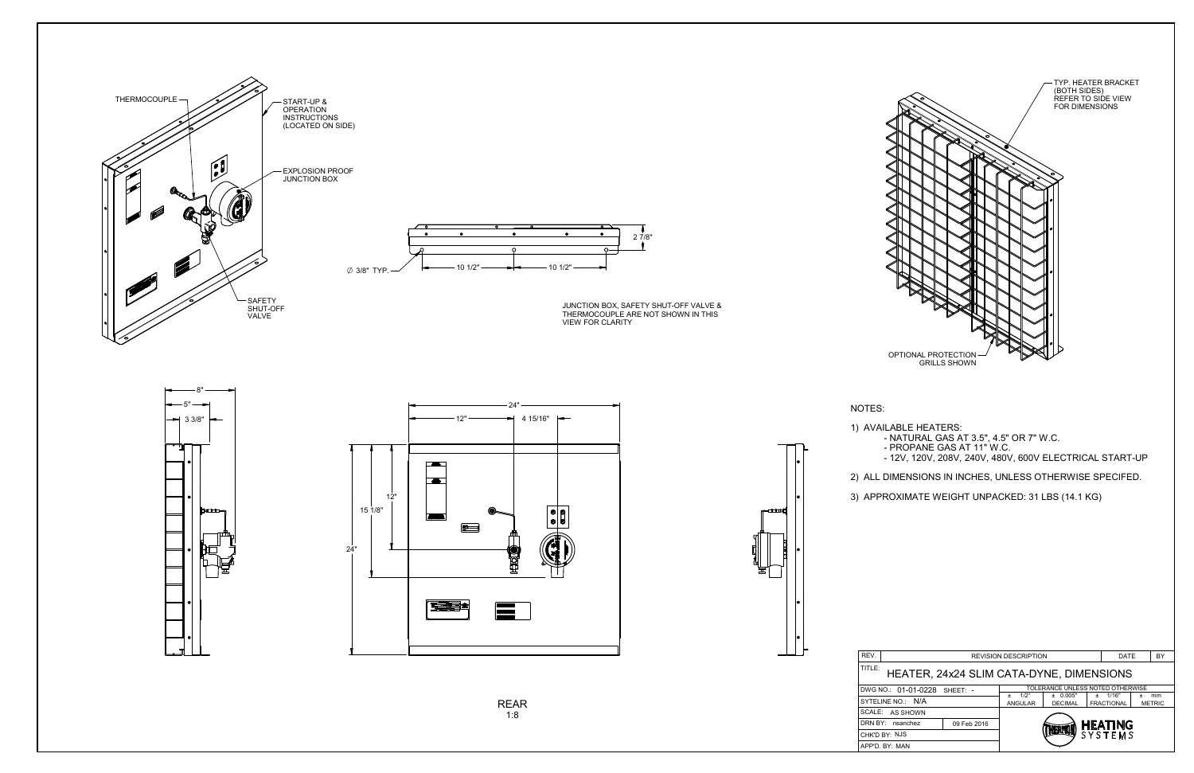



| REV.                                               |                              | <b>REVISION DESCRIPTION</b>        |                                              | DATE |                              | BY                         |  |  |  |  |  |
|----------------------------------------------------|------------------------------|------------------------------------|----------------------------------------------|------|------------------------------|----------------------------|--|--|--|--|--|
| TITLE:<br>HEATER, 24x24 SLIM CATA-DYNE, DIMENSIONS |                              |                                    |                                              |      |                              |                            |  |  |  |  |  |
|                                                    | DWG NO.: 01-01-0228 SHEET: - | TOLERANCE UNLESS NOTED OTHERWISE   |                                              |      |                              |                            |  |  |  |  |  |
|                                                    | SYTELINE NO.: N/A            | $1/2^\circ$<br>÷<br><b>ANGULAR</b> | $\pm$ 0.005"<br><b>DECIMAL</b>               |      | ± 1/16"<br><b>FRACTIONAL</b> | mm<br>$+$<br><b>METRIC</b> |  |  |  |  |  |
|                                                    | SCALE: AS SHOWN              |                                    |                                              |      |                              |                            |  |  |  |  |  |
|                                                    | DRN BY: nsanchez             | 09 Feb 2016                        | <b>HEATING</b><br>SYSTEMS<br><b>THERMON)</b> |      |                              |                            |  |  |  |  |  |
|                                                    | CHK'D BY: NJS                |                                    |                                              |      |                              |                            |  |  |  |  |  |
|                                                    | APP'D. BY: MAN               |                                    |                                              |      |                              |                            |  |  |  |  |  |



REAR

1:8



t po





NOTES:

1) AVAILABLE HEATERS:

- NATURAL GAS AT 3.5", 4.5" OR 7" W.C.

- PROPANE GAS AT 11" W.C.<br>- 12V, 120V, 208V, 240V, 480V, 600V ELECTRICAL START-UP

2) ALL DIMENSIONS IN INCHES, UNLESS OTHERWISE SPECIFED.

3) APPROXIMATE WEIGHT UNPACKED: 31 LBS (14.1 KG)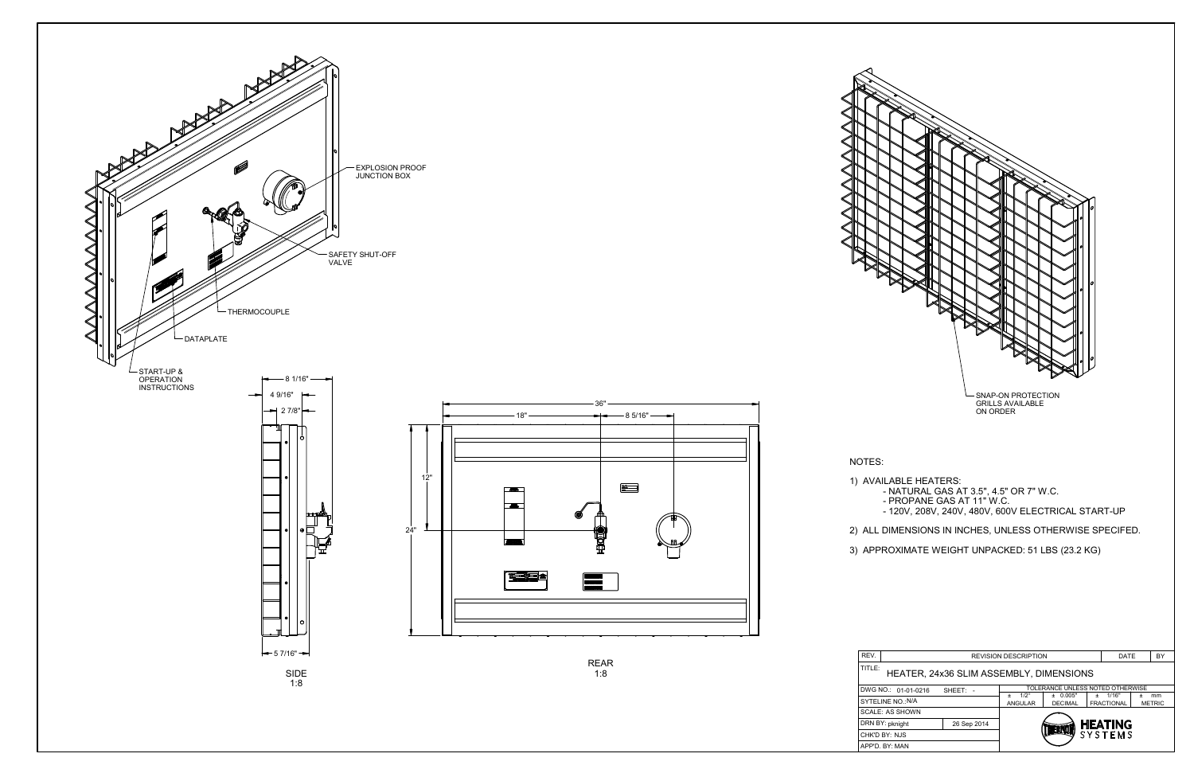REAR $1:8$ 





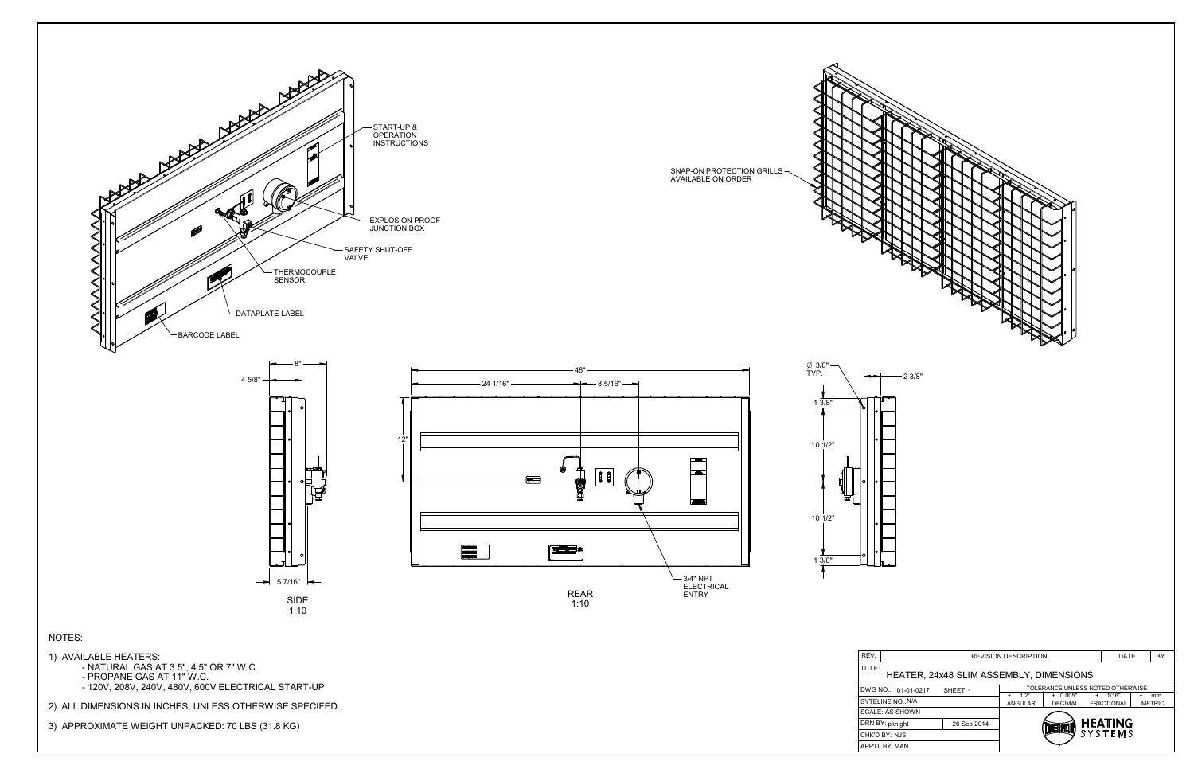



**TITLE** REV.



| REV.   |                                         |             | DATE                                       |                                |                              |   |                     |  |  |  |  |  |
|--------|-----------------------------------------|-------------|--------------------------------------------|--------------------------------|------------------------------|---|---------------------|--|--|--|--|--|
| TITLE: | HEATER, 24x48 SLIM ASSEMBLY, DIMENSIONS |             |                                            |                                |                              |   |                     |  |  |  |  |  |
|        | DWG NO.: 01-01-0217                     | SHEET:-     | TOLERANCE UNLESS NOTED OTHERWISE           |                                |                              |   |                     |  |  |  |  |  |
|        | SYTELINE NO.: N/A                       |             | $1/2^\circ$<br>$\ddot{}$<br><b>ANGULAR</b> | $\pm$ 0.005"<br><b>DECIMAL</b> | ± 1/16"<br><b>FRACTIONAL</b> | ۰ | mm<br><b>METRIC</b> |  |  |  |  |  |
|        | SCALE: AS SHOWN                         |             |                                            |                                |                              |   |                     |  |  |  |  |  |
|        | DRN BY: pknight                         | 26 Sep 2014 |                                            | <b>HERMO</b>                   | <b>HEATING</b>               |   |                     |  |  |  |  |  |
|        | CHK'D BY: NJS                           |             |                                            |                                | <b>SYSTEMS</b>               |   |                     |  |  |  |  |  |
|        | APP'D. BY: MAN                          |             |                                            |                                |                              |   |                     |  |  |  |  |  |





## NOTES:

1) AVAILABLE HEATERS:

- PROPANE GAS AT 11" W.C.<br>- 120V, 208V, 240V, 480V, 600V ELECTRICAL START-UP

2) ALL DIMENSIONS IN INCHES, UNLESS OTHERWISE SPECIFED.

3) APPROXIMATE WEIGHT UNPACKED: 70 LBS (31.8 KG)

SNAP-ON PROTECTION GRILLS AVAILABLE ON ORDER